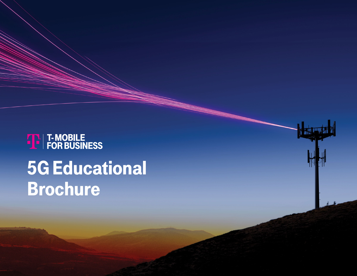# **THE T-MOBILE<br>PE FOR BUSINESS** 5G Educational Brochure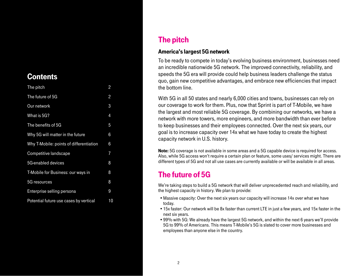## <span id="page-1-0"></span>**Contents**

| The pitch                               | $\overline{c}$ |
|-----------------------------------------|----------------|
| The future of 5G                        | 2              |
| Our network                             | 3              |
| What is 5G?                             | 4              |
| The benefits of 5G                      | 5              |
| Why 5G will matter in the future        | 6              |
| Why T-Mobile: points of differentiation | 6              |
| Competitive landscape                   | 7              |
| 5G-enabled devices                      | 8              |
| T-Mobile for Business: our ways in      | 8              |
| 5G resources                            | 8              |
| Enterprise selling persona              | 9              |
| Potential future use cases by vertical  | 10             |

# The pitch

#### America's largest 5G network

To be ready to compete in today's evolving business environment, businesses need an incredible nationwide 5G network. The improved connectivity, reliability, and speeds the 5G era will provide could help business leaders challenge the status quo, gain new competitive advantages, and embrace new efficiencies that impact the bottom line.

With 5G in all 50 states and nearly 6,000 cities and towns, businesses can rely on our coverage to work for them. Plus, now that Sprint is part of T-Mobile, we have the largest and most reliable 5G coverage. By combining our networks, we have a network with more towers, more engineers, and more bandwidth than ever before to keep businesses and their employees connected. Over the next six years, our goal is to increase capacity over 14x what we have today to create the highest capacity network in U.S. history.

**Note:** 5G coverage is not available in some areas and a 5G capable device is required for access. Also, while 5G access won't require a certain plan or feature, some uses/ services might. There are different types of 5G and not all use cases are currently available or will be available in all areas.

# The future of 5G

We're taking steps to build a 5G network that will deliver unprecedented reach and reliability, and the highest capacity in history. We plan to provide:

- •Massive capacity: Over the next six years our capacity will increase 14x over what we have today.
- •15x faster: Our network will be 8x faster than current LTE in just a few years, and 15x faster in the next six years.
- •99% with 5G: We already have the largest 5G network, and within the next 6 years we'll provide 5G to 99% of Americans. This means T-Mobile's 5G is slated to cover more businesses and employees than anyone else in the country.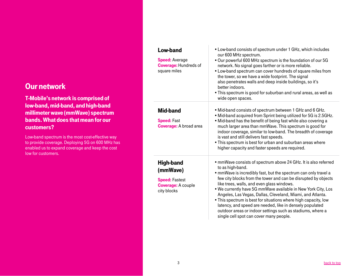## <span id="page-2-0"></span>Our network

T-Mobile's network is comprised of low-band, mid-band, and high-band millimeter wave (mmWave) spectrum bands. What does that mean for our customers?

Low-band spectrum is the most cost-effective way to provide coverage. Deploying 5G on 600 MHz has enabled us to expand coverage and keep the cost low for customers.

| Low-band<br><b>Speed: Average</b><br><b>Coverage: Hundreds of</b><br>square miles                 | • Low-band consists of spectrum under 1 GHz, which includes<br>our 600 MHz spectrum.<br>. Our powerful 600 MHz spectrum is the foundation of our 5G<br>network. No signal goes farther or is more reliable.<br>• Low-band spectrum can cover hundreds of square miles from<br>the tower, so we have a wide footprint. The signal<br>also penetrates walls and deep inside buildings, so it's<br>better indoors.<br>. This spectrum is good for suburban and rural areas, as well as<br>wide open spaces.                                                                                                                                      |
|---------------------------------------------------------------------------------------------------|-----------------------------------------------------------------------------------------------------------------------------------------------------------------------------------------------------------------------------------------------------------------------------------------------------------------------------------------------------------------------------------------------------------------------------------------------------------------------------------------------------------------------------------------------------------------------------------------------------------------------------------------------|
| <b>Mid-band</b><br><b>Speed: Fast</b><br><b>Coverage:</b> A broad area                            | • Mid-band consists of spectrum between 1 GHz and 6 GHz.<br>. Mid-band acquired from Sprint being utilized for 5G is 2.5GHz.<br>. Mid-band has the benefit of being fast while also covering a<br>much larger area than mmWave. This spectrum is good for<br>indoor coverage, similar to low-band. The breadth of coverage<br>is vast and still delivers fast speeds.<br>. This spectrum is best for urban and suburban areas where<br>higher capacity and faster speeds are required.                                                                                                                                                        |
| <b>High-band</b><br>(mmWave)<br><b>Speed: Fastest</b><br><b>Coverage: A couple</b><br>city blocks | • mmWave consists of spectrum above 24 GHz. It is also referred<br>to as high-band.<br>• mmWave is incredibly fast, but the spectrum can only travel a<br>few city blocks from the tower and can be disrupted by objects<br>like trees, walls, and even glass windows.<br>. We currently have 5G mmWave available in New York City, Los<br>Angeles, Las Vegas, Dallas, Cleveland, Miami, and Atlanta.<br>• This spectrum is best for situations where high capacity, low<br>latency, and speed are needed, like in densely populated<br>outdoor areas or indoor settings such as stadiums, where a<br>single cell spot can cover many people. |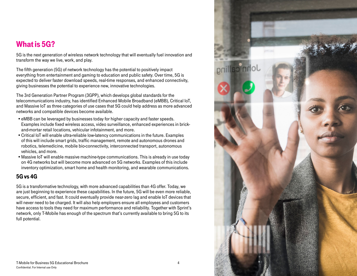## <span id="page-3-0"></span>What is 5G?

5G is the next generation of wireless network technology that will eventually fuel innovation and transform the way we live, work, and play.

The fifth generation (5G) of network technology has the potential to positively impact everything from entertainment and gaming to education and public safety. Over time, 5G is expected to deliver faster download speeds, real-time responses, and enhanced connectivity, giving businesses the potential to experience new, innovative technologies.

The 3rd Generation Partner Program (3GPP), which develops global standards for the telecommunications industry, has identified Enhanced Mobile Broadband (eMBB), Critical IoT, and Massive IoT as three categories of use cases that 5G could help address as more advanced networks and compatible devices become available.

- •eMBB can be leveraged by businesses today for higher capacity and faster speeds. Examples include fixed wireless access, video surveillance, enhanced experiences in brickand-mortar retail locations, vehicular infotainment, and more.
- •Critical IoT will enable ultra-reliable low-latency communications in the future. Examples of this will include smart grids, traffic management, remote and autonomous drones and robotics, telemedicine, mobile bio-connectivity, interconnected transport, autonomous vehicles, and more.
- •Massive IoT will enable massive machine-type communications. This is already in use today on 4G networks but will become more advanced on 5G networks. Examples of this include inventory optimization, smart home and health monitoring, and wearable communications.

## 5G vs 4G

5G is a transformative technology, with more advanced capabilities than 4G offer. Today, we are just beginning to experience these capabilities. In the future, 5G will be even more reliable, secure, efficient, and fast. It could eventually provide near-zero lag and enable IoT devices that will never need to be charged. It will also help employers ensure all employees and customers have access to tools they need for maximum performance and reliability. Together with Sprint's network, only T-Mobile has enough of the spectrum that's currently available to bring 5G to its full potential.

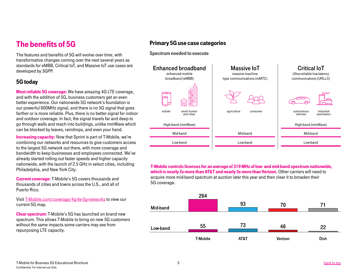# <span id="page-4-0"></span>The benefits of 5G

The features and benefits of 5G will evolve over time, with transformative changes coming over the next several years as standards for eMBB, Critical IoT, and Massive IoT use cases are developed by 3GPP.

### 5G today

Most reliable 5G coverage: We have amazing 4G LTE coverage, and with the addition of 5G, business customers get an even better experience. Our nationwide 5G network's foundation is our powerful 600MHz signal, and there is no 5G signal that goes farther or is more reliable. Plus, there is no better signal for indoor and outdoor coverage. In fact, the signal travels far and deep to go through walls and reach into buildings, unlike mmWave which can be blocked by leaves, raindrops, and even your hand.

Increasing capacity: Now that Sprint is part of T-Mobile, we're combining our networks and resources to give customers access to the largest 5G network out there, with more coverage and bandwidth to keep businesses and employees connected. We've already started rolling out faster speeds and higher capacity nationwide, with the launch of 2.5 GHz in select cities, including Philadelphia, and New York City.

Current coverage: T-Mobile's 5G covers thousands and thousands of cities and towns across the U.S., and all of Puerto Rico.

Visit [T-Mobile.com/coverage/4g-lte-5g-networks](https://www.t-mobile.com/coverage/4g-lte-5g-networks) to view our current 5G map.

Clear spectrum: T-Mobile's 5G has launched on brand new spectrum. This allows T-Mobile to bring on new 5G customers without the same impacts some carriers may see from repurposing LTE capacity.

## Primary 5G use case categories

Spectrum needed to execute



T-Mobile controls licenses for an average of 319 MHz of low- and mid-band spectrum nationwide, which is nearly 2x more than AT&T and nearly 3x more than Verizon. Other carriers will need to acquire more mid-band spectrum at auction later this year and then clear it to broaden their 5G coverage.

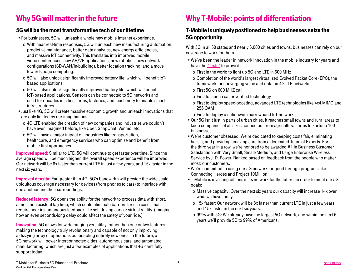# <span id="page-5-0"></span>Why 5G will matter in the future

## 5G will be the most transformative tech of our lifetime

- •For businesses, 5G will unleash a whole new mobile Internet experience.
	- o With near real-time responses, 5G will unleash new manufacturing automation, predictive maintenance, better data analytics, new energy efficiencies, and massive IoT connectivity. This translates into improved mobile video conferences, new AR/VR applications, new robotics, new network configurations (SD-WAN/in-building), better location tracking, and a move towards edge computing.
	- o 5G will also unlock significantly improved battery life, which will benefit IoTbased applications.
	- o 5G will also unlock significantly improved battery life, which will benefit IoT- based applications. Sensors can be connected to 5G networks and used for decades in cities, farms, factories, and machinery to enable smart infrastructures.
- •Just like 4G, 5G will create massive economic growth and unleash innovations that are only limited by our imaginations.
	- o 4G LTE enabled the creation of new companies and industries we couldn't have even imagined before, like Uber, SnapChat, Venmo, etc.
	- o 5G will have a major impact on industries like transportation, healthcare, and emergency services who can optimize and benefit from mobile-first approaches

Improved speed: Similar to LTE, 5G will continue to get faster over time. Since the average speed will be much higher, the overall speed experience will be improved. Our network will be 8x faster than current LTE in just a few years, and 15x faster in the next six years.

Improved density: Far greater than 4G, 5G's bandwidth will provide the wide-scale, ubiquitous coverage necessary for devices (from phones to cars) to interface with one another and their surroundings.

Reduced latency: 5G opens the ability for the network to process data with short, almost non-existent lag time, which could eliminate barriers for use cases that require near-instantaneous feedback like self-driving cars or virtual reality. (Imagine how an even seconds-long delay could affect the safety of your ride.)

**Innovation:** 5G allows for wide-ranging versatility, rather than one or two features, making the technology truly revolutionary and capable of not only improving a dizzying array of operations but enabling entirely new ones. In the future, a 5G network will power interconnected cities, autonomous cars, and automated manufacturing, which are just a few examples of applications that 4G can't fully support today.

# Why T-Mobile: points of differentiation

## T-Mobile is uniquely positioned to help businesses seize the 5G opportunity

With 5G in all 50 states and nearly 6,000 cities and towns, businesses can rely on our coverage to work for them.

- •We've been the leader in network innovation in the mobile industry for years and have the ["firsts"](https://www.t-mobile.com/news/uncarrier-network-list-of-firsts) to prove it:
	- o First in the world to light up 5G and LTE in 600 MHz
	- o Completion of the world's largest virtualized Evolved Packet Core (EPC), the framework for converging voice and data on 4G LTE networks
	- o First 5G on 600 MHZ call
	- o First to launch caller verified technology
	- o First to deploy speed-boosting, advanced LTE technologies like 4x4 MIMO and 256 QAM
	- o First to deploy a nationwide narrowband IoT network
- •Our 5G isn't just in parts of urban cities. It reaches small towns and rural areas to keep companies of all sizes connected, from agricultural farms to Fortune 100 businesses.
- •We're customer obsessed. We're dedicated to keeping costs fair, eliminating hassle, and providing amazing care from a dedicated Team of Experts. For the third year in a row, we're honored to be awarded #1 in Business Customer Satisfaction with Very Small, Small/Medium, and Large Enterprise Wireless Service by J. D. Power. Ranked based on feedback from the people who matter most: our customers.
- •We're committed to using our 5G network for good through programs like Connecting Heroes and Project 10Million.
- •T-Mobile is investing billions in its network for the future, in order to meet our 5G goals:
	- o Massive capacity: Over the next six years our capacity will increase 14x over what we have today.
	- o 15x faster: Our network will be 8x faster than current LTE in just a few years, and 15x faster in the next six years.
	- o 99% with 5G: We already have the largest 5G network, and within the next 6 years we'll provide 5G to 99% of Americans.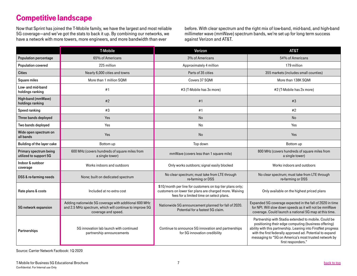# <span id="page-6-0"></span>Competitive landscape

Now that Sprint has joined the T-Mobile family, we have the largest and most reliable 5G coverage—and we've got the stats to back it up. By combining our networks, we have a network with more towers, more engineers, and more bandwidth than ever

before. With clear spectrum and the right mix of low-band, mid-band, and high-band millimeter wave (mmWave) spectrum bands, we're set up for long term success against Verizon and AT&T.

|                                                  | <b>T-Mobile</b>                                                                                                                         | Verizon                                                                                                                                                          | AT&T                                                                                                                                                                                                                                                                                                                      |
|--------------------------------------------------|-----------------------------------------------------------------------------------------------------------------------------------------|------------------------------------------------------------------------------------------------------------------------------------------------------------------|---------------------------------------------------------------------------------------------------------------------------------------------------------------------------------------------------------------------------------------------------------------------------------------------------------------------------|
| Population percentage                            | 65% of Americans                                                                                                                        | 3% of Americans                                                                                                                                                  | 54% of Americans                                                                                                                                                                                                                                                                                                          |
| Population covered                               | 225 million                                                                                                                             | Approximately 4 million                                                                                                                                          | 179 million                                                                                                                                                                                                                                                                                                               |
| <b>Cities</b>                                    | Nearly 6,000 cities and towns                                                                                                           | Parts of 35 cities                                                                                                                                               | 355 markets (includes small counties)                                                                                                                                                                                                                                                                                     |
| Square miles                                     | More than 1 million SQMI                                                                                                                | Covers 37 SQMI                                                                                                                                                   | More than 138K SQMI                                                                                                                                                                                                                                                                                                       |
| Low- and mid-band<br>holdings ranking            | #1                                                                                                                                      | #3 (T-Mobile has 3x more)                                                                                                                                        | #2 (T-Mobile has 2x more)                                                                                                                                                                                                                                                                                                 |
| High-band (mmWave)<br>holdings ranking           | #2                                                                                                                                      | #1                                                                                                                                                               | #3                                                                                                                                                                                                                                                                                                                        |
| Speed ranking                                    | #3                                                                                                                                      | #1                                                                                                                                                               | #2                                                                                                                                                                                                                                                                                                                        |
| Three bands deployed                             | Yes                                                                                                                                     | <b>No</b>                                                                                                                                                        | <b>No</b>                                                                                                                                                                                                                                                                                                                 |
| Two bands deployed                               | Yes                                                                                                                                     | No                                                                                                                                                               | Yes                                                                                                                                                                                                                                                                                                                       |
| Wide open spectrum on<br>all bands               | Yes                                                                                                                                     | <b>No</b>                                                                                                                                                        | Yes                                                                                                                                                                                                                                                                                                                       |
| Building of the layer cake                       | Bottom up                                                                                                                               | Top down                                                                                                                                                         | Bottom up                                                                                                                                                                                                                                                                                                                 |
| Primary spectrum being<br>utilized to support 5G | 600 MHz (covers hundreds of square miles from<br>a single tower)                                                                        | mmWave (covers less than 1 square mile)                                                                                                                          | 800 MHz (covers hundreds of square miles from<br>a single tower)                                                                                                                                                                                                                                                          |
| Indoor & outdoor<br>coverage                     | Works indoors and outdoors                                                                                                              | Only works outdoors; signal easily blocked                                                                                                                       | Works indoors and outdoors                                                                                                                                                                                                                                                                                                |
| DSS & re-farming needs                           | None; built on dedicated spectrum                                                                                                       | No clear spectrum; must take from LTE through<br>re-farming or DSS                                                                                               | No clear spectrum; must take from LTE through<br>re-farming or DSS                                                                                                                                                                                                                                                        |
| Rate plans & costs                               | Included at no extra cost                                                                                                               | \$10/month per line for customers on top tier plans only;<br>customers on lower tier plans are charged more. Waiving<br>fees for a limited time on select plans. | Only available on the highest priced plans                                                                                                                                                                                                                                                                                |
| 5G network expansion                             | Adding nationwide 5G coverage with additional 600 MHz<br>and 2.5 MHz spectrum, which will continue to improve 5G<br>coverage and speed. | Nationwide 5G announcement planned for fall of 2020.<br>Potential for a fastest 5G claim.                                                                        | Expanded 5G coverage expected in the fall of 2020 in time<br>for NPI. Will slow down speeds as it will not be mmWave<br>coverage. Could launch a national 5G map at this time.                                                                                                                                            |
| Partnerships                                     | 5G innovation lab launch with continued<br>partnership announcements                                                                    | Continue to announce 5G innovation and partnerships<br>for 5G innovation credibility                                                                             | Partnership with Stadia extended to mobile. Could be<br>positioning their edge computing (business offering)<br>ability with this partnership. Leaning into FirstNet progress<br>with the first federally approved ad. Potential to expand<br>messaging to "5G on America's most trusted network by<br>first responders." |

Source: Carrier Network Factbook: 1Q 2020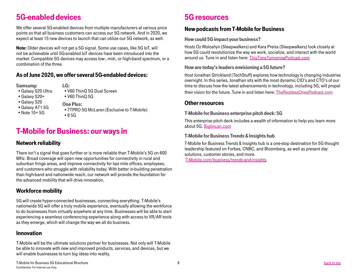# <span id="page-7-0"></span>5G-enabled devices

We offer several 5G-enabled devices from multiple manufacturers at various price points so that all business customers can access our 5G network. And in 2020, we expect at least 15 new devices to launch that can utilize our 5G network, as well.

Note: Older devices will not get a 5G signal. Some use cases, like 5G IoT, will not be achievable until 5G-enabled IoT devices have been introduced into the market. Compatible 5G devices may access low-, mid-, or high-band spectrum, or a combination of the three.

#### As of June 2020, we offer several 5G-endabled devices:

#### Samsung:

- •Galaxy S20 Ultra
- •Galaxy S20+
- •Galaxy S20
- •Galaxy A71 5G
- •Note 10+ 5G
- LG: •V60 ThinQ 5G Dual Screen •V60 ThinQ 5G
- One Plus:
- •7TPRO 5G McLaren (Exclusive to T-Mobile) •8 5G

# T-Mobile for Business: our ways in

### Network reliability

There isn't a signal that goes further or is more reliable than T-Mobile's 5G on 600 MHz. Broad coverage will open new opportunities for connectivity in rural and suburban fringe areas, and improve connectivity for last mile offices, employees, and customers who struggle with reliability today. With better in-building penetration than high-band and nationwide reach, our network will provide the foundation for the advanced mobility that will drive innovation.

### Workforce mobility

5G will create hyper-connected businesses, connecting everything. T-Mobile's nationwide 5G will offer a truly mobile experience, eventually allowing the workforce to do businesses from virtually anywhere at any time. Businesses will be able to start experiencing a seamless conferencing experience along with access to VR/AR tools as they emerge, which will change the way we all do business.

#### Innovation

T-Mobile will be the ultimate solutions partner for businesses. Not only will T-Mobile be able to innovate with new and improved products, services, and devices, but we will enable businesses to turn big ideas into reality.

# 5G resources

#### New podcasts from T-Mobile for Business

#### How could 5G impact your business?

Hosts Oz Woloshyn (Sleepwalkers) and Kara Preiss (Sleepwalkers) look closely at how 5G could revolutionize the way we work, socialize, and interact with the world around us. Tune in and listen here: [ThisTimeTomorrowPodcast.com](https://www.iheart.com/podcast/1119-this-time-tomorrow-52858437/)

#### How are today's leaders envisioning a 5G future?

Host Jonathan Strickland (TechStuff) explores how technology is changing industries overnight. In this series, Jonathan sits with the most dynamic CIO's and CTO's of our time to discuss how the latest advancements in technology, including 5G, will propel their vision for the future. Tune in and listen here: [TheRestlessOnesPodcast.com](http://www.therestlessonespodcast.com/)

#### Other resources

#### T-Mobile for Business enterprise pitch deck: 5G

This enterprise pitch deck includes a wealth of information to help you learn more about 5G. [Bigtincan.com](https://tfb.appnext.tmo.bigtincan.com/file/1017736490)

#### T-Mobile for Business Trends & Insights hub

T-Mobile for Business Trends & Insights hub is a one-stop destination for 5G thought leadership featured on Forbes, CNBC, and Bloomberg, as well as present day solutions, customer stories, and more.

[T-Mobile.com/business/trends-and-insights](https://www.t-mobile.com/business/trends-and-insights)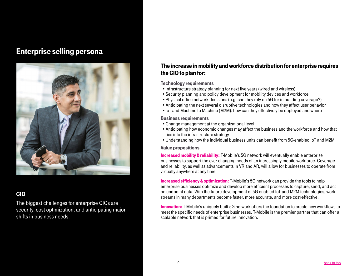## <span id="page-8-0"></span>Enterprise selling persona



## CIO

The biggest challenges for enterprise CIOs are security, cost optimization, and anticipating major shifts in business needs.

### The increase in mobility and workforce distribution for enterprise requires the CIO to plan for:

#### Technology requirements

- •Infrastructure strategy planning for next five years (wired and wireless)
- •Security planning and policy development for mobility devices and workforce
- •Physical office network decisions (e.g. can they rely on 5G for in-building coverage?)
- •Anticipating the next several disruptive technologies and how they affect user behavior
- •IoT and Machine to Machine (M2M): how can they effectively be deployed and where

#### Business requirements

- •Change management at the organizational level
- •Anticipating how economic changes may affect the business and the workforce and how that ties into the infrastructure strategy
- •Understanding how the individual business units can benefit from 5G-enabled IoT and M2M

#### Value propositions

Increased mobility & reliability: T-Mobile's 5G network will eventually enable enterprise businesses to support the ever-changing needs of an increasingly mobile workforce. Coverage and reliability, as well as advancements in VR and AR, will allow for businesses to operate from virtually anywhere at any time.

**Increased efficiency & optimization:** T-Mobile's 5G network can provide the tools to help enterprise businesses optimize and develop more efficient processes to capture, send, and act on endpoint data. With the future development of 5G-enabled IoT and M2M technologies, workstreams in many departments become faster, more accurate, and more cost-effective.

Innovation: T-Mobile's uniquely built 5G network offers the foundation to create new workflows to meet the specific needs of enterprise businesses. T-Mobile is the premier partner that can offer a scalable network that is primed for future innovation.